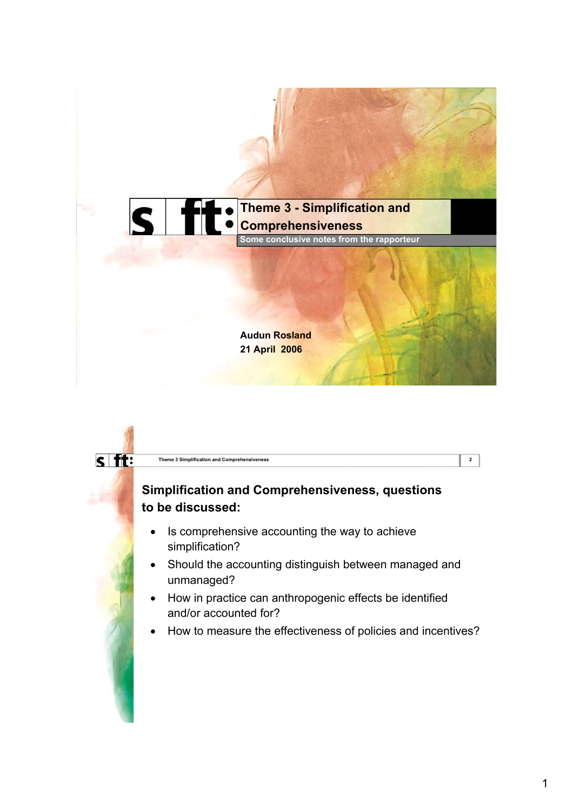

# $s$  ft: **Theme 3 Simplification and Comprehensiveness 2 Simplification and Comprehensiveness, questions to be discussed:**  • Is comprehensive accounting the way to achieve simplification? Should the accounting distinguish between managed and unmanaged? • How in practice can anthropogenic effects be identified and/or accounted for? • How to measure the effectiveness of policies and incentives?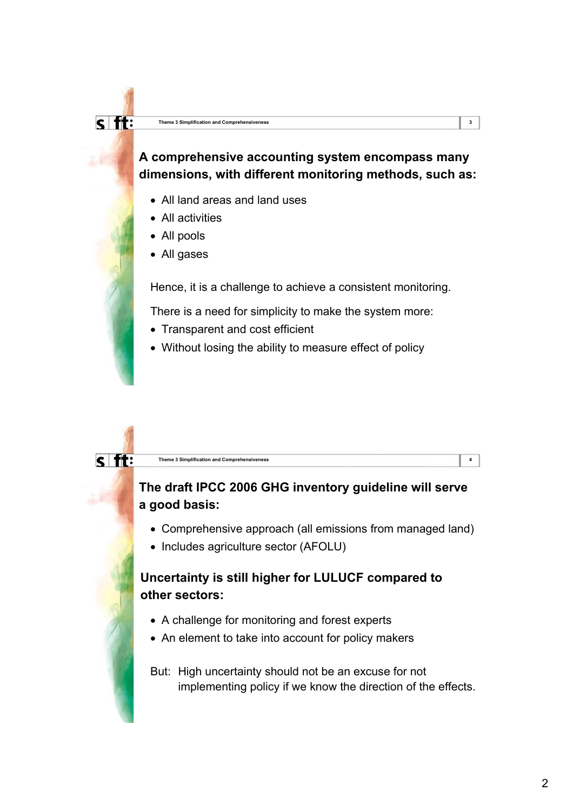$\overline{s}$  ft:

 $\overline{s}$  ft:

# **A comprehensive accounting system encompass many dimensions, with different monitoring methods, such as:**

- All land areas and land uses
- All activities
- All pools
- All gases

Hence, it is a challenge to achieve a consistent monitoring.

There is a need for simplicity to make the system more:

- Transparent and cost efficient
- Without losing the ability to measure effect of policy

#### **Theme 3 Simplification and Comprehensiveness 4**

# **The draft IPCC 2006 GHG inventory guideline will serve a good basis:**

- Comprehensive approach (all emissions from managed land)
- Includes agriculture sector (AFOLU)

# **Uncertainty is still higher for LULUCF compared to other sectors:**

- A challenge for monitoring and forest experts
- An element to take into account for policy makers

But: High uncertainty should not be an excuse for not implementing policy if we know the direction of the effects.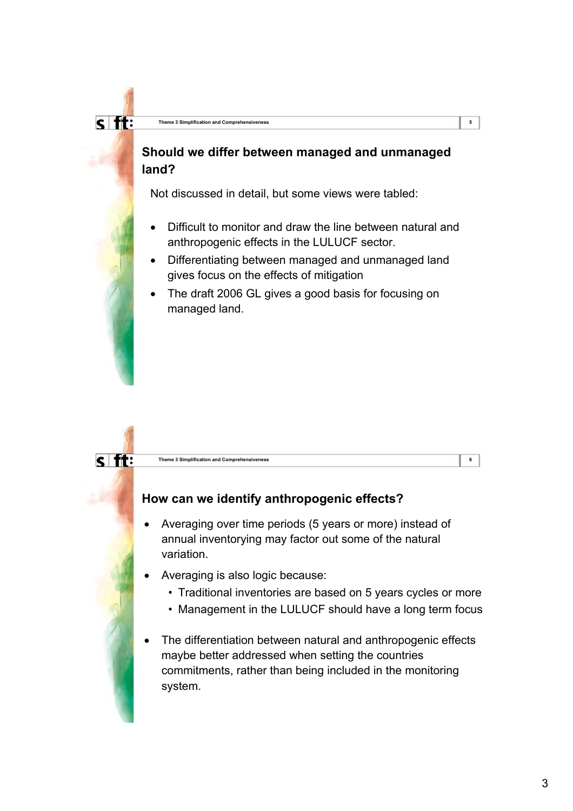$\overline{\mathsf{S}}$  ft:

### **Should we differ between managed and unmanaged land?**

Not discussed in detail, but some views were tabled:

- Difficult to monitor and draw the line between natural and anthropogenic effects in the LULUCF sector.
- Differentiating between managed and unmanaged land gives focus on the effects of mitigation
- The draft 2006 GL gives a good basis for focusing on managed land.

#### **Theme 3 Simplification and Comprehensiveness 6**

### **How can we identify anthropogenic effects?**

- Averaging over time periods (5 years or more) instead of annual inventorying may factor out some of the natural variation.
- Averaging is also logic because:
	- Traditional inventories are based on 5 years cycles or more
	- Management in the LULUCF should have a long term focus
- The differentiation between natural and anthropogenic effects maybe better addressed when setting the countries commitments, rather than being included in the monitoring system.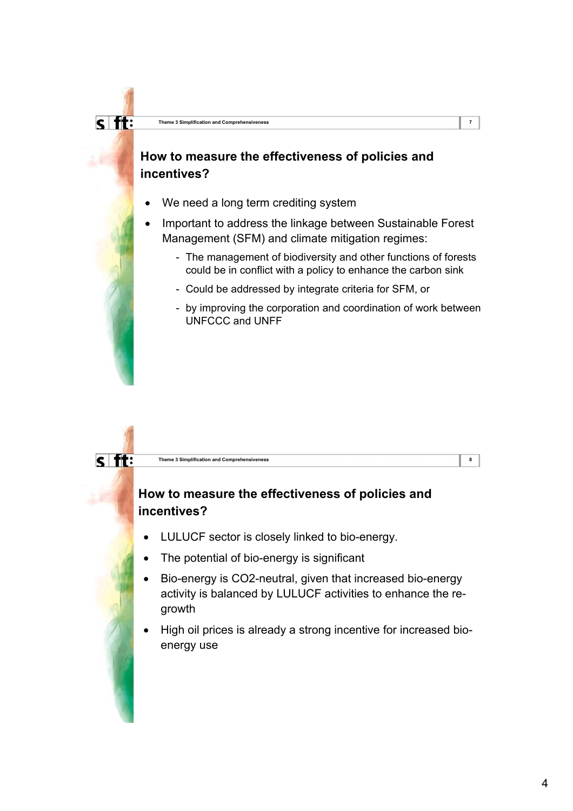# **How to measure the effectiveness of policies and incentives?**

- We need a long term crediting system
- Important to address the linkage between Sustainable Forest Management (SFM) and climate mitigation regimes:
	- The management of biodiversity and other functions of forests could be in conflict with a policy to enhance the carbon sink
	- Could be addressed by integrate criteria for SFM, or
	- by improving the corporation and coordination of work between UNFCCC and UNFF

#### **Theme 3 Simplification and Comprehensiveness 8**

 $\overline{s}$  ft:

### **How to measure the effectiveness of policies and incentives?**

- LULUCF sector is closely linked to bio-energy.
- The potential of bio-energy is significant
- Bio-energy is CO2-neutral, given that increased bio-energy activity is balanced by LULUCF activities to enhance the regrowth
- High oil prices is already a strong incentive for increased bioenergy use